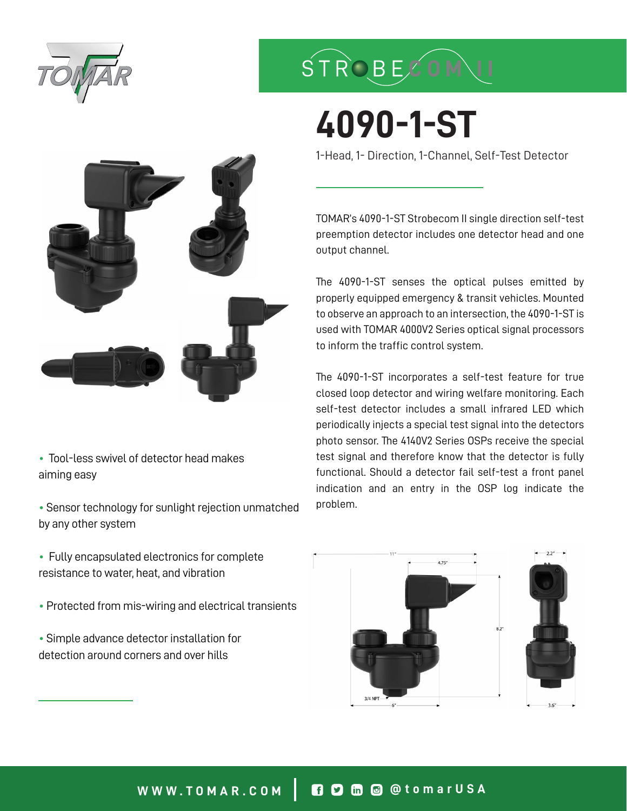

## STROBECON

# **4090-1-ST**

1-Head, 1- Direction, 1-Channel, Self-Test Detector

TOMAR's 4090-1-ST Strobecom II single direction self-test preemption detector includes one detector head and one output channel.

The 4090-1-ST senses the optical pulses emitted by properly equipped emergency & transit vehicles. Mounted to observe an approach to an intersection, the 4090-1-ST is used with TOMAR 4000V2 Series optical signal processors to inform the traffic control system.

The 4090-1-ST incorporates a self-test feature for true closed loop detector and wiring welfare monitoring. Each self-test detector includes a small infrared LED which periodically injects a special test signal into the detectors photo sensor. The 4140V2 Series OSPs receive the special test signal and therefore know that the detector is fully functional. Should a detector fail self-test a front panel indication and an entry in the OSP log indicate the problem.



• Tool-less swivel of detector head makes aiming easy

• Sensor technology for sunlight rejection unmatched by any other system

• Fully encapsulated electronics for complete resistance to water, heat, and vibration

• Protected from mis-wiring and electrical transients

• Simple advance detector installation for detection around corners and over hills

### **WWW.TOMAR.COM @tomarUSA**